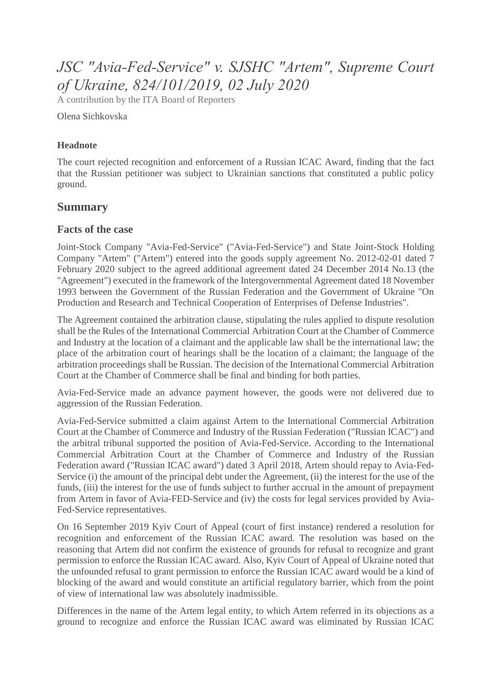# *JSC "Avia-Fed-Service" v. SJSHC "Artem", Supreme Court of Ukraine, 824/101/2019, 02 July 2020*

A contribution by the ITA Board of Reporters

Olena Sichkovska

#### **Headnote**

The court rejected recognition and enforcement of a Russian ICAC Award, finding that the fact that the Russian petitioner was subject to Ukrainian sanctions that constituted a public policy ground.

## **Summary**

### **Facts of the case**

Joint-Stock Company "Avia-Fed-Service" ("Avia-Fed-Service") and State Joint-Stock Holding Company "Artem" ("Artem") entered into the goods supply agreement No. 2012-02-01 dated 7 February 2020 subject to the agreed additional agreement dated 24 December 2014 No.13 (the "Agreement") executed in the framework of the Intergovernmental Agreement dated 18 November 1993 between the Government of the Russian Federation and the Government of Ukraine "On Production and Research and Technical Cooperation of Enterprises of Defense Industries".

The Agreement contained the arbitration clause, stipulating the rules applied to dispute resolution shall be the Rules of the International Commercial Arbitration Court at the Chamber of Commerce and Industry at the location of a claimant and the applicable law shall be the international law; the place of the arbitration court of hearings shall be the location of a claimant; the language of the arbitration proceedings shall be Russian. The decision of the International Commercial Arbitration Court at the Chamber of Commerce shall be final and binding for both parties.

Avia-Fed-Service made an advance payment however, the goods were not delivered due to aggression of the Russian Federation.

Avia-Fed-Service submitted a claim against Artem to the International Commercial Arbitration Court at the Chamber of Commerce and Industry of the Russian Federation ("Russian ICAC") and the arbitral tribunal supported the position of Avia-Fed-Service. According to the International Commercial Arbitration Court at the Chamber of Commerce and Industry of the Russian Federation award ("Russian ICAC award") dated 3 April 2018, Artem should repay to Avia-Fed-Service (i) the amount of the principal debt under the Agreement, (ii) the interest for the use of the funds, (iii) the interest for the use of funds subject to further accrual in the amount of prepayment from Artem in favor of Avia-FED-Service and (iv) the costs for legal services provided by Avia-Fed-Service representatives.

On 16 September 2019 Kyiv Court of Appeal (court of first instance) rendered a resolution for recognition and enforcement of the Russian ICAC award. The resolution was based on the reasoning that Artem did not confirm the existence of grounds for refusal to recognize and grant permission to enforce the Russian ICAC award. Also, Kyiv Court of Appeal of Ukraine noted that the unfounded refusal to grant permission to enforce the Russian ICAC award would be a kind of blocking of the award and would constitute an artificial regulatory barrier, which from the point of view of international law was absolutely inadmissible.

Differences in the name of the Artem legal entity, to which Artem referred in its objections as a ground to recognize and enforce the Russian ICAC award was eliminated by Russian ICAC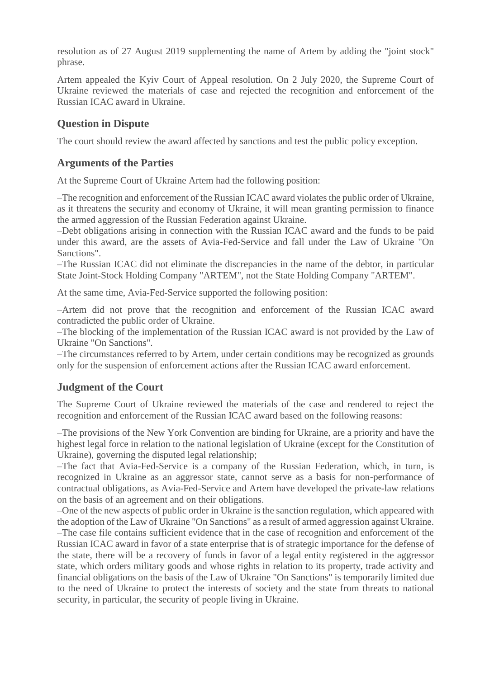resolution as of 27 August 2019 supplementing the name of Artem by adding the "joint stock" phrase.

Artem appealed the Kyiv Court of Appeal resolution. On 2 July 2020, the Supreme Court of Ukraine reviewed the materials of case and rejected the recognition and enforcement of the Russian ICAC award in Ukraine.

## **Question in Dispute**

The court should review the award affected by sanctions and test the public policy exception.

## **Arguments of the Parties**

At the Supreme Court of Ukraine Artem had the following position:

–The recognition and enforcement of the Russian ICAC award violates the public order of Ukraine, as it threatens the security and economy of Ukraine, it will mean granting permission to finance the armed aggression of the Russian Federation against Ukraine.

–Debt obligations arising in connection with the Russian ICAC award and the funds to be paid under this award, are the assets of Avia-Fed-Service and fall under the Law of Ukraine "On Sanctions".

–The Russian ICAC did not eliminate the discrepancies in the name of the debtor, in particular State Joint-Stock Holding Company "ARTEM", not the State Holding Company "ARTEM".

At the same time, Avia-Fed-Service supported the following position:

–Artem did not prove that the recognition and enforcement of the Russian ICAC award contradicted the public order of Ukraine.

–The blocking of the implementation of the Russian ICAC award is not provided by the Law of Ukraine "On Sanctions".

–The circumstances referred to by Artem, under certain conditions may be recognized as grounds only for the suspension of enforcement actions after the Russian ICAC award enforcement.

## **Judgment of the Court**

The Supreme Court of Ukraine reviewed the materials of the case and rendered to reject the recognition and enforcement of the Russian ICAC award based on the following reasons:

–The provisions of the New York Convention are binding for Ukraine, are a priority and have the highest legal force in relation to the national legislation of Ukraine (except for the Constitution of Ukraine), governing the disputed legal relationship;

–The fact that Avia-Fed-Service is a company of the Russian Federation, which, in turn, is recognized in Ukraine as an aggressor state, cannot serve as a basis for non-performance of contractual obligations, as Avia-Fed-Service and Artem have developed the private-law relations on the basis of an agreement and on their obligations.

–One of the new aspects of public order in Ukraine is the sanction regulation, which appeared with the adoption of the Law of Ukraine "On Sanctions" as a result of armed aggression against Ukraine. –The case file contains sufficient evidence that in the case of recognition and enforcement of the Russian ICAC award in favor of a state enterprise that is of strategic importance for the defense of the state, there will be a recovery of funds in favor of a legal entity registered in the aggressor state, which orders military goods and whose rights in relation to its property, trade activity and financial obligations on the basis of the Law of Ukraine "On Sanctions" is temporarily limited due to the need of Ukraine to protect the interests of society and the state from threats to national security, in particular, the security of people living in Ukraine.